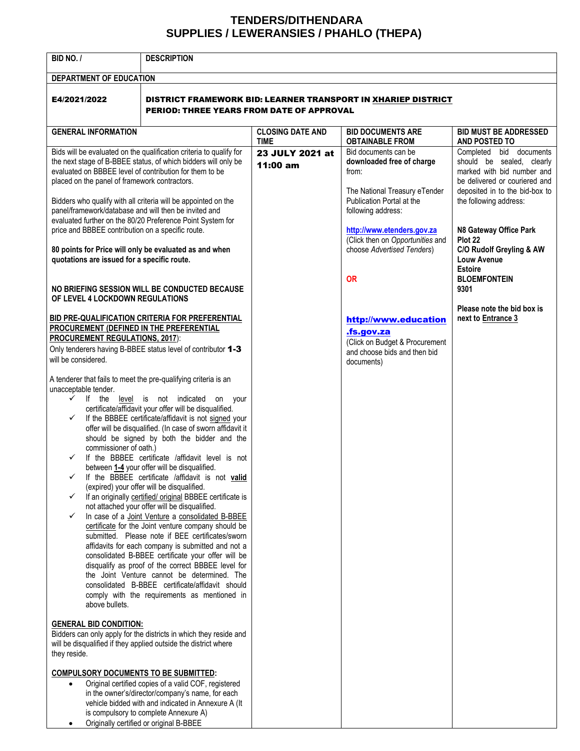## **TENDERS/DITHENDARA SUPPLIES / LEWERANSIES / PHAHLO (THEPA)**

| BID NO. /                                                                                                                                                                                                                                                                                                                                                                                                                                                                                                                                                                                                                                                                                                                                                                                                                                                                                                                                                                                                                                                                                                                                                                                                                                                                                                                                                                                                                                                                                                                                                                                                                                                                                                                                                                                                                                                                                                                                                                                                                                                                                                                                                                                                                                                                                                                                                                                                                                                                                                                                                                                                                                                                                                                         | <b>DESCRIPTION</b>                                                                                                |                                        |                                                                                                                                                                                                                                                                                                                                                                                                             |                                                                                                                                                                                                                                                                                                                                                                             |  |
|-----------------------------------------------------------------------------------------------------------------------------------------------------------------------------------------------------------------------------------------------------------------------------------------------------------------------------------------------------------------------------------------------------------------------------------------------------------------------------------------------------------------------------------------------------------------------------------------------------------------------------------------------------------------------------------------------------------------------------------------------------------------------------------------------------------------------------------------------------------------------------------------------------------------------------------------------------------------------------------------------------------------------------------------------------------------------------------------------------------------------------------------------------------------------------------------------------------------------------------------------------------------------------------------------------------------------------------------------------------------------------------------------------------------------------------------------------------------------------------------------------------------------------------------------------------------------------------------------------------------------------------------------------------------------------------------------------------------------------------------------------------------------------------------------------------------------------------------------------------------------------------------------------------------------------------------------------------------------------------------------------------------------------------------------------------------------------------------------------------------------------------------------------------------------------------------------------------------------------------------------------------------------------------------------------------------------------------------------------------------------------------------------------------------------------------------------------------------------------------------------------------------------------------------------------------------------------------------------------------------------------------------------------------------------------------------------------------------------------------|-------------------------------------------------------------------------------------------------------------------|----------------------------------------|-------------------------------------------------------------------------------------------------------------------------------------------------------------------------------------------------------------------------------------------------------------------------------------------------------------------------------------------------------------------------------------------------------------|-----------------------------------------------------------------------------------------------------------------------------------------------------------------------------------------------------------------------------------------------------------------------------------------------------------------------------------------------------------------------------|--|
| DEPARTMENT OF EDUCATION                                                                                                                                                                                                                                                                                                                                                                                                                                                                                                                                                                                                                                                                                                                                                                                                                                                                                                                                                                                                                                                                                                                                                                                                                                                                                                                                                                                                                                                                                                                                                                                                                                                                                                                                                                                                                                                                                                                                                                                                                                                                                                                                                                                                                                                                                                                                                                                                                                                                                                                                                                                                                                                                                                           |                                                                                                                   |                                        |                                                                                                                                                                                                                                                                                                                                                                                                             |                                                                                                                                                                                                                                                                                                                                                                             |  |
| E4/2021/2022                                                                                                                                                                                                                                                                                                                                                                                                                                                                                                                                                                                                                                                                                                                                                                                                                                                                                                                                                                                                                                                                                                                                                                                                                                                                                                                                                                                                                                                                                                                                                                                                                                                                                                                                                                                                                                                                                                                                                                                                                                                                                                                                                                                                                                                                                                                                                                                                                                                                                                                                                                                                                                                                                                                      | DISTRICT FRAMEWORK BID: LEARNER TRANSPORT IN XHARIEP DISTRICT<br><b>PERIOD: THREE YEARS FROM DATE OF APPROVAL</b> |                                        |                                                                                                                                                                                                                                                                                                                                                                                                             |                                                                                                                                                                                                                                                                                                                                                                             |  |
| <b>GENERAL INFORMATION</b>                                                                                                                                                                                                                                                                                                                                                                                                                                                                                                                                                                                                                                                                                                                                                                                                                                                                                                                                                                                                                                                                                                                                                                                                                                                                                                                                                                                                                                                                                                                                                                                                                                                                                                                                                                                                                                                                                                                                                                                                                                                                                                                                                                                                                                                                                                                                                                                                                                                                                                                                                                                                                                                                                                        |                                                                                                                   | <b>CLOSING DATE AND</b><br><b>TIME</b> | <b>BID DOCUMENTS ARE</b>                                                                                                                                                                                                                                                                                                                                                                                    | <b>BID MUST BE ADDRESSED</b><br>AND POSTED TO                                                                                                                                                                                                                                                                                                                               |  |
| Bids will be evaluated on the qualification criteria to qualify for<br>the next stage of B-BBEE status, of which bidders will only be<br>evaluated on BBBEE level of contribution for them to be<br>placed on the panel of framework contractors.<br>Bidders who qualify with all criteria will be appointed on the<br>panel/framework/database and will then be invited and<br>evaluated further on the 80/20 Preference Point System for<br>price and BBBEE contribution on a specific route.<br>80 points for Price will only be evaluated as and when<br>quotations are issued for a specific route.<br>NO BRIEFING SESSION WILL BE CONDUCTED BECAUSE<br>OF LEVEL 4 LOCKDOWN REGULATIONS<br>BID PRE-QUALIFICATION CRITERIA FOR PREFERENTIAL<br>PROCUREMENT (DEFINED IN THE PREFERENTIAL<br><b>PROCUREMENT REGULATIONS, 2017):</b><br>Only tenderers having B-BBEE status level of contributor 1-3<br>will be considered.<br>A tenderer that fails to meet the pre-qualifying criteria is an<br>unacceptable tender.<br>level is not indicated<br>$\checkmark$ If the<br>on your<br>certificate/affidavit your offer will be disqualified.<br>If the BBBEE certificate/affidavit is not signed your<br>offer will be disqualified. (In case of sworn affidavit it<br>should be signed by both the bidder and the<br>commissioner of oath.)<br>If the BBBEE certificate /affidavit level is not<br>between 1-4 your offer will be disqualified.<br>If the BBBEE certificate /affidavit is not valid<br>(expired) your offer will be disqualified.<br>If an originally certified/ original BBBEE certificate is<br>$\checkmark$<br>not attached your offer will be disqualified.<br>In case of a Joint Venture a consolidated B-BBEE<br>$\checkmark$<br>certificate for the Joint venture company should be<br>submitted. Please note if BEE certificates/sworn<br>affidavits for each company is submitted and not a<br>consolidated B-BBEE certificate your offer will be<br>disqualify as proof of the correct BBBEE level for<br>the Joint Venture cannot be determined. The<br>consolidated B-BBEE certificate/affidavit should<br>comply with the requirements as mentioned in<br>above bullets.<br><b>GENERAL BID CONDITION:</b><br>Bidders can only apply for the districts in which they reside and<br>will be disqualified if they applied outside the district where<br>they reside.<br><b>COMPULSORY DOCUMENTS TO BE SUBMITTED:</b><br>Original certified copies of a valid COF, registered<br>$\bullet$<br>in the owner's/director/company's name, for each<br>vehicle bidded with and indicated in Annexure A (It<br>is compulsory to complete Annexure A)<br>Originally certified or original B-BBEE<br>$\bullet$ |                                                                                                                   | 23 JULY 2021 at<br>11:00 am            | <b>OBTAINABLE FROM</b><br>Bid documents can be<br>downloaded free of charge<br>from:<br>The National Treasury eTender<br>Publication Portal at the<br>following address:<br>http://www.etenders.gov.za<br>(Click then on Opportunities and<br>choose Advertised Tenders)<br><b>OR</b><br>http://www.education<br>.fs.gov.za<br>(Click on Budget & Procurement<br>and choose bids and then bid<br>documents) | Completed bid documents<br>should be sealed, clearly<br>marked with bid number and<br>be delivered or couriered and<br>deposited in to the bid-box to<br>the following address:<br>N8 Gateway Office Park<br>Plot 22<br>C/O Rudolf Greyling & AW<br><b>Louw Avenue</b><br><b>Estoire</b><br><b>BLOEMFONTEIN</b><br>9301<br>Please note the bid box is<br>next to Entrance 3 |  |
|                                                                                                                                                                                                                                                                                                                                                                                                                                                                                                                                                                                                                                                                                                                                                                                                                                                                                                                                                                                                                                                                                                                                                                                                                                                                                                                                                                                                                                                                                                                                                                                                                                                                                                                                                                                                                                                                                                                                                                                                                                                                                                                                                                                                                                                                                                                                                                                                                                                                                                                                                                                                                                                                                                                                   |                                                                                                                   |                                        |                                                                                                                                                                                                                                                                                                                                                                                                             |                                                                                                                                                                                                                                                                                                                                                                             |  |